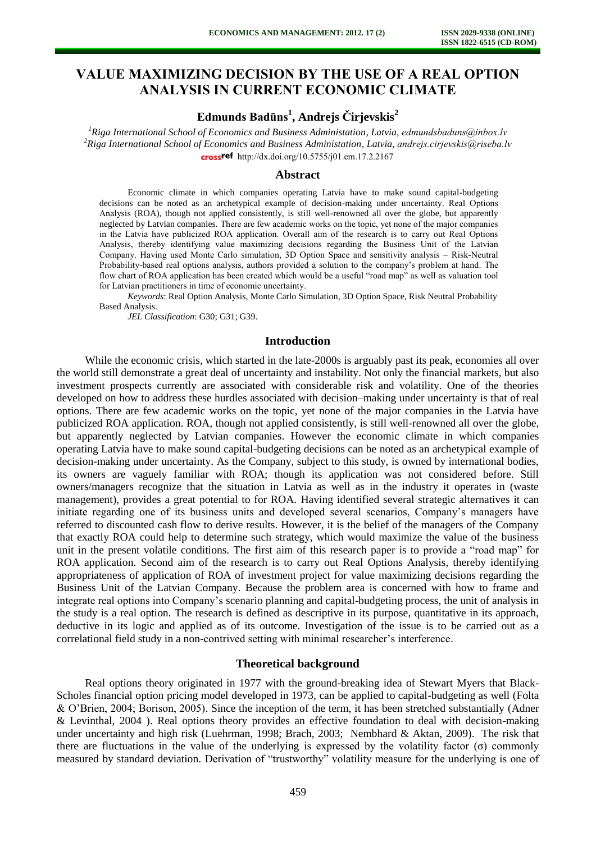# **VALUE MAXIMIZING DECISION BY THE USE OF A REAL OPTION ANALYSIS IN CURRENT ECONOMIC CLIMATE**

## **Edmunds Badūns<sup>1</sup> , Andrejs Čirjevskis<sup>2</sup>**

<sup>1</sup>*Riga International School of Economics and Business Administation, Latvia, [edmundsbaduns@inbox.lv](mailto:edmundsbaduns@inbox.lv) <sup>2</sup>Riga International School of Economics and Business Administation, Latvia, [andrejs.cirjevskis@riseba.lv](mailto:andrejs.cirjevskis@riseba.lv)* crossref [http://dx.doi.org/10.5755/j01.e](http://dx.doi.org/10.5755/j01.em.17.2.2167)m.17.2.2167

#### **Abstract**

Economic climate in which companies operating Latvia have to make sound capital-budgeting decisions can be noted as an archetypical example of decision-making under uncertainty. Real Options Analysis (ROA), though not applied consistently, is still well-renowned all over the globe, but apparently neglected by Latvian companies. There are few academic works on the topic, yet none of the major companies in the Latvia have publicized ROA application. Overall aim of the research is to carry out Real Options Analysis, thereby identifying value maximizing decisions regarding the Business Unit of the Latvian Company. Having used Monte Carlo simulation, 3D Option Space and sensitivity analysis – Risk-Neutral Probability-based real options analysis, authors provided a solution to the company's problem at hand. The flow chart of ROA application has been created which would be a useful "road map" as well as valuation tool for Latvian practitioners in time of economic uncertainty.

*Keywords*: Real Option Analysis, Monte Carlo Simulation, 3D Option Space, Risk Neutral Probability Based Analysis.

*JEL Classification*: G30; G31; G39.

### **Introduction**

While the economic crisis, which started in the late-2000s is arguably past its peak, economies all over the world still demonstrate a great deal of uncertainty and instability. Not only the financial markets, but also investment prospects currently are associated with considerable risk and volatility. One of the theories developed on how to address these hurdles associated with decision–making under uncertainty is that of real options. There are few academic works on the topic, yet none of the major companies in the Latvia have publicized ROA application. ROA, though not applied consistently, is still well-renowned all over the globe, but apparently neglected by Latvian companies. However the economic climate in which companies operating Latvia have to make sound capital-budgeting decisions can be noted as an archetypical example of decision-making under uncertainty. As the Company, subject to this study, is owned by international bodies, its owners are vaguely familiar with ROA; though its application was not considered before. Still owners/managers recognize that the situation in Latvia as well as in the industry it operates in (waste management), provides a great potential to for ROA. Having identified several strategic alternatives it can initiate regarding one of its business units and developed several scenarios, Company's managers have referred to discounted cash flow to derive results. However, it is the belief of the managers of the Company that exactly ROA could help to determine such strategy, which would maximize the value of the business unit in the present volatile conditions. The first aim of this research paper is to provide a "road map" for ROA application. Second aim of the research is to carry out Real Options Analysis, thereby identifying appropriateness of application of ROA of investment project for value maximizing decisions regarding the Business Unit of the Latvian Company. Because the problem area is concerned with how to frame and integrate real options into Company's scenario planning and capital-budgeting process, the unit of analysis in the study is a real option. The research is defined as descriptive in its purpose, quantitative in its approach, deductive in its logic and applied as of its outcome. Investigation of the issue is to be carried out as a correlational field study in a non-contrived setting with minimal researcher's interference.

#### **Theoretical background**

Real options theory originated in 1977 with the ground-breaking idea of Stewart Myers that Black-Scholes financial option pricing model developed in 1973, can be applied to capital-budgeting as well (Folta & O'Brien, 2004; Borison, 2005). Since the inception of the term, it has been stretched substantially (Adner & Levinthal, 2004 ). Real options theory provides an effective foundation to deal with decision-making under uncertainty and high risk (Luehrman, 1998; Brach, 2003; Nembhard & Aktan, 2009). The risk that there are fluctuations in the value of the underlying is expressed by the volatility factor  $(\sigma)$  commonly measured by standard deviation. Derivation of "trustworthy" volatility measure for the underlying is one of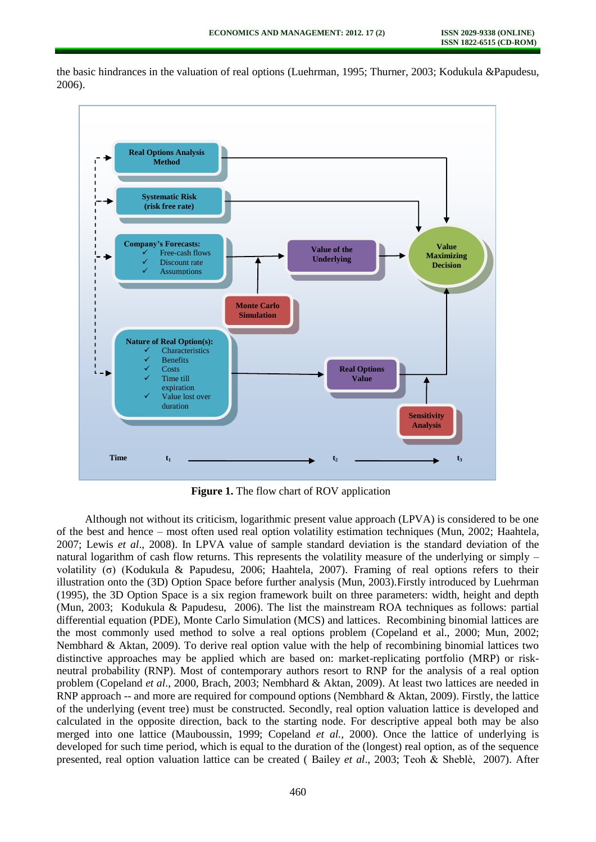

the basic hindrances in the valuation of real options (Luehrman, 1995; Thurner, 2003; Kodukula &Papudesu, 2006).

**Figure 1.** The flow chart of ROV application

Although not without its criticism, logarithmic present value approach (LPVA) is considered to be one of the best and hence – most often used real option volatility estimation techniques (Mun, 2002; Haahtela, 2007; Lewis *et al*., 2008). In LPVA value of sample standard deviation is the standard deviation of the natural logarithm of cash flow returns. This represents the volatility measure of the underlying or simply – volatility (σ) (Kodukula & Papudesu, 2006; Haahtela, 2007). Framing of real options refers to their illustration onto the (3D) Option Space before further analysis (Mun, 2003).Firstly introduced by Luehrman (1995), the 3D Option Space is a six region framework built on three parameters: width, height and depth (Mun, 2003; Kodukula & Papudesu, 2006). The list the mainstream ROA techniques as follows: partial differential equation (PDE), Monte Carlo Simulation (MCS) and lattices. Recombining binomial lattices are the most commonly used method to solve a real options problem (Copeland et al., 2000; Mun, 2002; Nembhard & Aktan, 2009). To derive real option value with the help of recombining binomial lattices two distinctive approaches may be applied which are based on: market-replicating portfolio (MRP) or riskneutral probability (RNP). Most of contemporary authors resort to RNP for the analysis of a real option problem (Copeland *et al*., 2000, Brach, 2003; Nembhard & Aktan, 2009). At least two lattices are needed in RNP approach -- and more are required for compound options (Nembhard & Aktan, 2009). Firstly, the lattice of the underlying (event tree) must be constructed. Secondly, real option valuation lattice is developed and calculated in the opposite direction, back to the starting node. For descriptive appeal both may be also merged into one lattice (Mauboussin, 1999; Copeland *et al.,* 2000). Once the lattice of underlying is developed for such time period, which is equal to the duration of the (longest) real option, as of the sequence presented, real option valuation lattice can be created ( Bailey *et al*., 2003; Teoh & Sheblè, 2007). After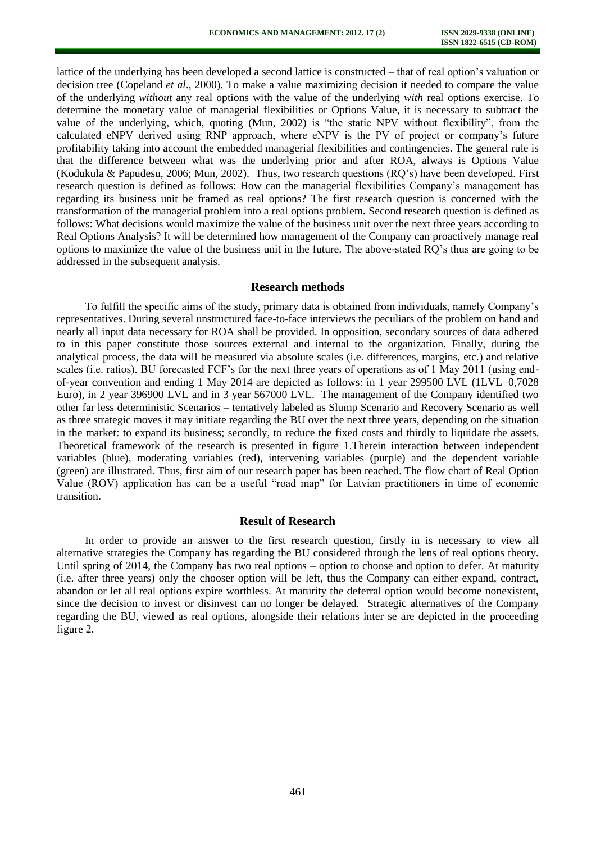lattice of the underlying has been developed a second lattice is constructed – that of real option's valuation or decision tree (Copeland *et al*., 2000). To make a value maximizing decision it needed to compare the value of the underlying *without* any real options with the value of the underlying *with* real options exercise. To determine the monetary value of managerial flexibilities or Options Value, it is necessary to subtract the value of the underlying, which, quoting (Mun, 2002) is "the static NPV without flexibility", from the calculated eNPV derived using RNP approach, where eNPV is the PV of project or company's future profitability taking into account the embedded managerial flexibilities and contingencies. The general rule is that the difference between what was the underlying prior and after ROA, always is Options Value (Kodukula & Papudesu, 2006; Mun, 2002). Thus, two research questions (RQ's) have been developed. First research question is defined as follows: How can the managerial flexibilities Company's management has regarding its business unit be framed as real options? The first research question is concerned with the transformation of the managerial problem into a real options problem. Second research question is defined as follows: What decisions would maximize the value of the business unit over the next three years according to Real Options Analysis? It will be determined how management of the Company can proactively manage real options to maximize the value of the business unit in the future. The above-stated RQ's thus are going to be addressed in the subsequent analysis.

#### **Research methods**

To fulfill the specific aims of the study, primary data is obtained from individuals, namely Company's representatives. During several unstructured face-to-face interviews the peculiars of the problem on hand and nearly all input data necessary for ROA shall be provided. In opposition, secondary sources of data adhered to in this paper constitute those sources external and internal to the organization. Finally, during the analytical process, the data will be measured via absolute scales (i.e. differences, margins, etc.) and relative scales (i.e. ratios). BU forecasted FCF's for the next three years of operations as of 1 May 2011 (using endof-year convention and ending 1 May 2014 are depicted as follows: in 1 year 299500 LVL (1LVL=0,7028 Euro), in 2 year 396900 LVL and in 3 year 567000 LVL. The management of the Company identified two other far less deterministic Scenarios – tentatively labeled as Slump Scenario and Recovery Scenario as well as three strategic moves it may initiate regarding the BU over the next three years, depending on the situation in the market: to expand its business; secondly, to reduce the fixed costs and thirdly to liquidate the assets. Theoretical framework of the research is presented in figure 1.Therein interaction between independent variables (blue), moderating variables (red), intervening variables (purple) and the dependent variable (green) are illustrated. Thus, first aim of our research paper has been reached. The flow chart of Real Option Value (ROV) application has can be a useful "road map" for Latvian practitioners in time of economic transition.

#### **Result of Research**

In order to provide an answer to the first research question, firstly in is necessary to view all alternative strategies the Company has regarding the BU considered through the lens of real options theory. Until spring of 2014, the Company has two real options – option to choose and option to defer. At maturity (i.e. after three years) only the chooser option will be left, thus the Company can either expand, contract, abandon or let all real options expire worthless. At maturity the deferral option would become nonexistent, since the decision to invest or disinvest can no longer be delayed. Strategic alternatives of the Company regarding the BU, viewed as real options, alongside their relations inter se are depicted in the proceeding figure 2.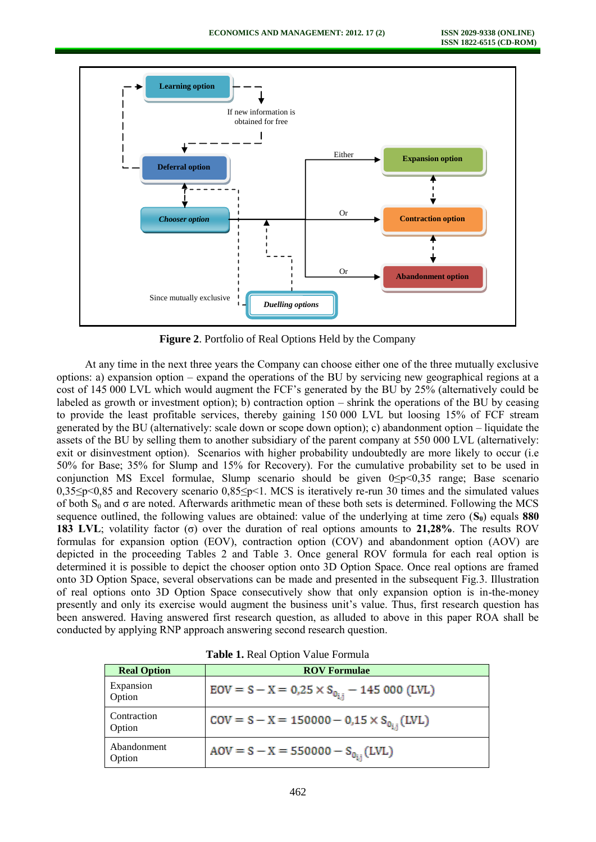

**Figure 2**. Portfolio of Real Options Held by the Company

At any time in the next three years the Company can choose either one of the three mutually exclusive options: a) expansion option – expand the operations of the BU by servicing new geographical regions at a cost of 145 000 LVL which would augment the FCF's generated by the BU by 25% (alternatively could be labeled as growth or investment option); b) contraction option – shrink the operations of the BU by ceasing to provide the least profitable services, thereby gaining 150 000 LVL but loosing 15% of FCF stream generated by the BU (alternatively: scale down or scope down option); c) abandonment option – liquidate the assets of the BU by selling them to another subsidiary of the parent company at 550 000 LVL (alternatively: exit or disinvestment option). Scenarios with higher probability undoubtedly are more likely to occur (i.e 50% for Base; 35% for Slump and 15% for Recovery). For the cumulative probability set to be used in conjunction MS Excel formulae, Slump scenario should be given 0≤p<0,35 range; Base scenario 0,35≤p<0,85 and Recovery scenario 0,85≤p<1. MCS is iteratively re-run 30 times and the simulated values of both  $S_0$  and  $\sigma$  are noted. Afterwards arithmetic mean of these both sets is determined. Following the MCS sequence outlined, the following values are obtained: value of the underlying at time zero (**S0**) equals **880 183 LVL**; volatility factor (σ) over the duration of real options amounts to **21,28%**. The results ROV formulas for expansion option (EOV), contraction option (COV) and abandonment option (AOV) are depicted in the proceeding Tables 2 and Table 3. Once general ROV formula for each real option is determined it is possible to depict the chooser option onto 3D Option Space. Once real options are framed onto 3D Option Space, several observations can be made and presented in the subsequent Fig.3. Illustration of real options onto 3D Option Space consecutively show that only expansion option is in-the-money presently and only its exercise would augment the business unit's value. Thus, first research question has been answered. Having answered first research question, as alluded to above in this paper ROA shall be conducted by applying RNP approach answering second research question.

| <b>Tuble 1.</b> Real Option value I ormain |                                                        |  |  |
|--------------------------------------------|--------------------------------------------------------|--|--|
| <b>Real Option</b>                         | <b>ROV Formulae</b>                                    |  |  |
| Expansion<br>Option                        | $EOV = S - X = 0.25 \times S_{0_{i,j}} - 145000$ (LVL) |  |  |
| Contraction<br>Option                      | $COV = S - X = 150000 - 0.15 \times S_{0_{i}}(LVL)$    |  |  |
| Abandonment<br>Option                      | $AOV = S - X = 550000 - S_{0_{11}}(LVL)$               |  |  |

**Table 1.** Real Option Value Formula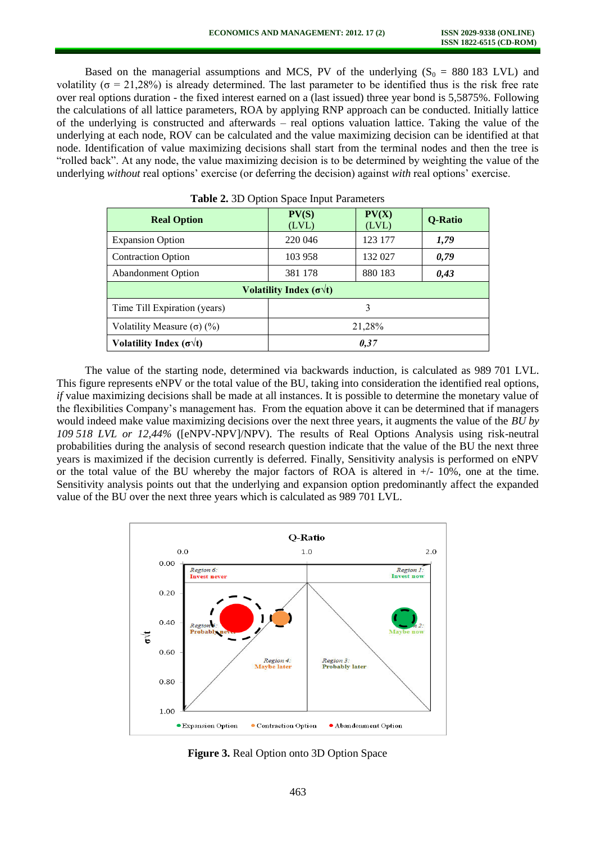Based on the managerial assumptions and MCS, PV of the underlying  $(S_0 = 880 183 \text{ LVL})$  and volatility ( $\sigma$  = 21,28%) is already determined. The last parameter to be identified thus is the risk free rate over real options duration - the fixed interest earned on a (last issued) three year bond is 5,5875%. Following the calculations of all lattice parameters, ROA by applying RNP approach can be conducted. Initially lattice of the underlying is constructed and afterwards – real options valuation lattice. Taking the value of the underlying at each node, ROV can be calculated and the value maximizing decision can be identified at that node. Identification of value maximizing decisions shall start from the terminal nodes and then the tree is "rolled back". At any node, the value maximizing decision is to be determined by weighting the value of the underlying *without* real options' exercise (or deferring the decision) against *with* real options' exercise.

| <b>Real Option</b>                      | PV(S)<br>(LVL) | PV(X)<br>(LVL) | Q-Ratio |  |
|-----------------------------------------|----------------|----------------|---------|--|
| <b>Expansion Option</b>                 | 220 046        | 123 177        | 1,79    |  |
| <b>Contraction Option</b>               | 103 958        | 132 027        | 0,79    |  |
| <b>Abandonment Option</b>               | 381 178        | 880 183        | 0,43    |  |
| Volatility Index ( $\sigma \forall t$ ) |                |                |         |  |
| Time Till Expiration (years)            |                | 3              |         |  |
| Volatility Measure $(\sigma)$ (%)       | 21,28%         |                |         |  |
| Volatility Index ( $\sigma \forall t$ ) | 0,37           |                |         |  |
|                                         |                |                |         |  |

The value of the starting node, determined via backwards induction, is calculated as 989 701 LVL. This figure represents eNPV or the total value of the BU, taking into consideration the identified real options, *if* value maximizing decisions shall be made at all instances. It is possible to determine the monetary value of the flexibilities Company's management has. From the equation above it can be determined that if managers would indeed make value maximizing decisions over the next three years, it augments the value of the *BU by 109 518 LVL or 12,44%* ([eNPV-NPV]/NPV). The results of Real Options Analysis using risk-neutral probabilities during the analysis of second research question indicate that the value of the BU the next three years is maximized if the decision currently is deferred. Finally, Sensitivity analysis is performed on eNPV or the total value of the BU whereby the major factors of ROA is altered in  $+/-10\%$ , one at the time. Sensitivity analysis points out that the underlying and expansion option predominantly affect the expanded value of the BU over the next three years which is calculated as 989 701 LVL.



**Figure 3.** Real Option onto 3D Option Space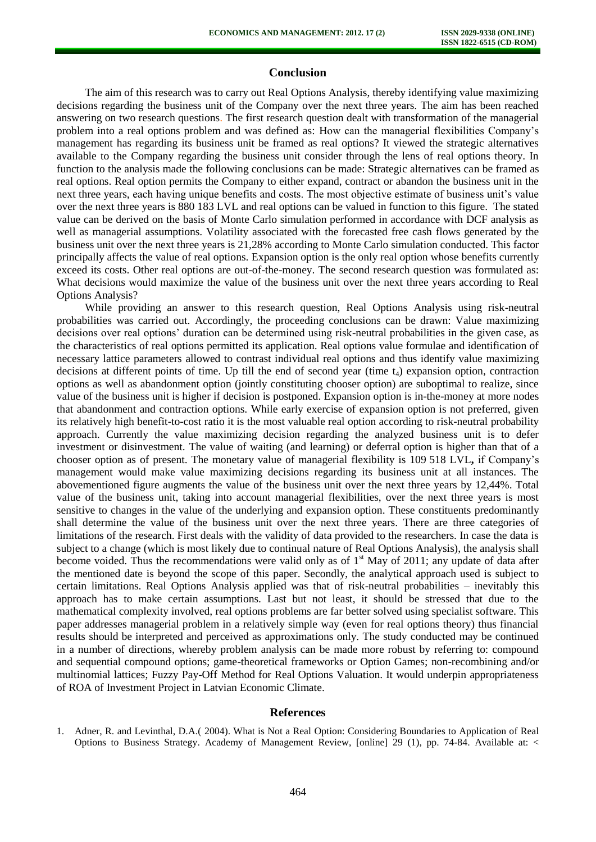## **Conclusion**

The aim of this research was to carry out Real Options Analysis, thereby identifying value maximizing decisions regarding the business unit of the Company over the next three years. The aim has been reached answering on two research questions. The first research question dealt with transformation of the managerial problem into a real options problem and was defined as: How can the managerial flexibilities Company's management has regarding its business unit be framed as real options? It viewed the strategic alternatives available to the Company regarding the business unit consider through the lens of real options theory. In function to the analysis made the following conclusions can be made: Strategic alternatives can be framed as real options. Real option permits the Company to either expand, contract or abandon the business unit in the next three years, each having unique benefits and costs. The most objective estimate of business unit's value over the next three years is 880 183 LVL and real options can be valued in function to this figure. The stated value can be derived on the basis of Monte Carlo simulation performed in accordance with DCF analysis as well as managerial assumptions. Volatility associated with the forecasted free cash flows generated by the business unit over the next three years is 21,28% according to Monte Carlo simulation conducted. This factor principally affects the value of real options. Expansion option is the only real option whose benefits currently exceed its costs. Other real options are out-of-the-money. The second research question was formulated as: What decisions would maximize the value of the business unit over the next three years according to Real Options Analysis?

While providing an answer to this research question, Real Options Analysis using risk-neutral probabilities was carried out. Accordingly, the proceeding conclusions can be drawn: Value maximizing decisions over real options' duration can be determined using risk-neutral probabilities in the given case, as the characteristics of real options permitted its application. Real options value formulae and identification of necessary lattice parameters allowed to contrast individual real options and thus identify value maximizing decisions at different points of time. Up till the end of second year (time  $t_4$ ) expansion option, contraction options as well as abandonment option (jointly constituting chooser option) are suboptimal to realize, since value of the business unit is higher if decision is postponed. Expansion option is in-the-money at more nodes that abandonment and contraction options. While early exercise of expansion option is not preferred, given its relatively high benefit-to-cost ratio it is the most valuable real option according to risk-neutral probability approach. Currently the value maximizing decision regarding the analyzed business unit is to defer investment or disinvestment. The value of waiting (and learning) or deferral option is higher than that of a chooser option as of present. The monetary value of managerial flexibility is 109 518 LVL**,** if Company's management would make value maximizing decisions regarding its business unit at all instances. The abovementioned figure augments the value of the business unit over the next three years by 12,44%. Total value of the business unit, taking into account managerial flexibilities, over the next three years is most sensitive to changes in the value of the underlying and expansion option. These constituents predominantly shall determine the value of the business unit over the next three years. There are three categories of limitations of the research. First deals with the validity of data provided to the researchers. In case the data is subject to a change (which is most likely due to continual nature of Real Options Analysis), the analysis shall become voided. Thus the recommendations were valid only as of  $1<sup>st</sup>$  May of 2011; any update of data after the mentioned date is beyond the scope of this paper. Secondly, the analytical approach used is subject to certain limitations. Real Options Analysis applied was that of risk-neutral probabilities – inevitably this approach has to make certain assumptions. Last but not least, it should be stressed that due to the mathematical complexity involved, real options problems are far better solved using specialist software. This paper addresses managerial problem in a relatively simple way (even for real options theory) thus financial results should be interpreted and perceived as approximations only. The study conducted may be continued in a number of directions, whereby problem analysis can be made more robust by referring to: compound and sequential compound options; game-theoretical frameworks or Option Games; non-recombining and/or multinomial lattices; Fuzzy Pay-Off Method for Real Options Valuation. It would underpin appropriateness of ROA of Investment Project in Latvian Economic Climate.

#### **References**

1. Adner, R. and Levinthal, D.A.( 2004). What is Not a Real Option: Considering Boundaries to Application of Real Options to Business Strategy. Academy of Management Review, [online] 29 (1), pp. 74-84. Available at: <